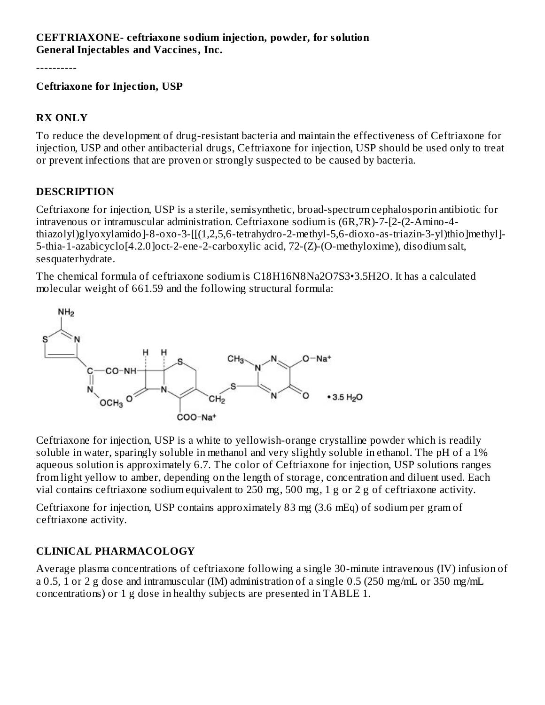#### **CEFTRIAXONE- ceftriaxone sodium injection, powder, for solution General Injectables and Vaccines, Inc.**

----------

#### **Ceftriaxone for Injection, USP**

#### **RX ONLY**

To reduce the development of drug-resistant bacteria and maintain the effectiveness of Ceftriaxone for injection, USP and other antibacterial drugs, Ceftriaxone for injection, USP should be used only to treat or prevent infections that are proven or strongly suspected to be caused by bacteria.

#### **DESCRIPTION**

Ceftriaxone for injection, USP is a sterile, semisynthetic, broad-spectrum cephalosporin antibiotic for intravenous or intramuscular administration. Ceftriaxone sodium is (6R,7R)-7-[2-(2-Amino-4 thiazolyl)glyoxylamido]-8-oxo-3-[[(1,2,5,6-tetrahydro-2-methyl-5,6-dioxo-as-triazin-3-yl)thio]methyl]- 5-thia-1-azabicyclo[4.2.0]oct-2-ene-2-carboxylic acid, 72-(Z)-(O-methyloxime), disodium salt, sesquaterhydrate.

The chemical formula of ceftriaxone sodium is C18H16N8Na2O7S3•3.5H2O. It has a calculated molecular weight of 661.59 and the following structural formula:



Ceftriaxone for injection, USP is a white to yellowish-orange crystalline powder which is readily soluble in water, sparingly soluble in methanol and very slightly soluble in ethanol. The pH of a 1% aqueous solution is approximately 6.7. The color of Ceftriaxone for injection, USP solutions ranges from light yellow to amber, depending on the length of storage, concentration and diluent used. Each vial contains ceftriaxone sodium equivalent to 250 mg, 500 mg, 1 g or 2 g of ceftriaxone activity.

Ceftriaxone for injection, USP contains approximately 83 mg (3.6 mEq) of sodium per gram of ceftriaxone activity.

#### **CLINICAL PHARMACOLOGY**

Average plasma concentrations of ceftriaxone following a single 30-minute intravenous (IV) infusion of a 0.5, 1 or 2 g dose and intramuscular (IM) administration of a single 0.5 (250 mg/mL or 350 mg/mL concentrations) or 1 g dose in healthy subjects are presented in TABLE 1.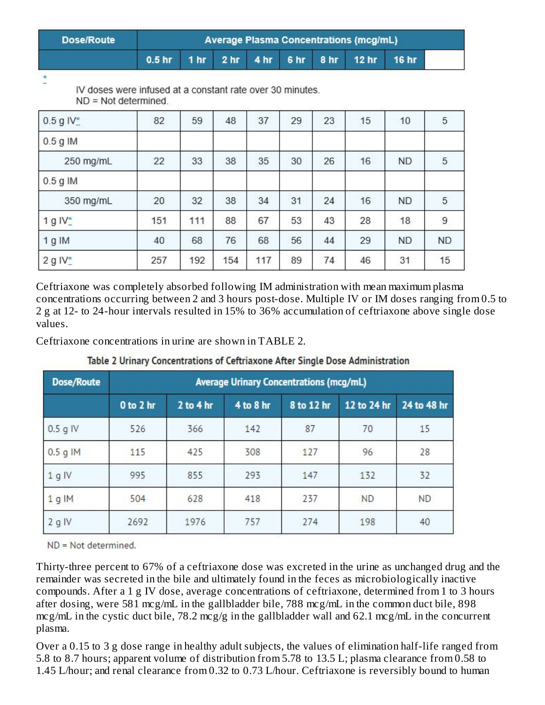| Dose/Route | <b>Average Plasma Concentrations (mcg/mL)</b> |  |  |  |  |  |  |  |  |
|------------|-----------------------------------------------|--|--|--|--|--|--|--|--|
|            | 0.5 hr 1 hr 2 hr 4 hr 6 hr 8 hr 12 hr 16 hr   |  |  |  |  |  |  |  |  |

IV doses were infused at a constant rate over 30 minutes

 $ND = Not determined$ 

| $0.5 g IV_{-}^{*}$ | 82  | 59  | 48  | 37  | 29 | 23 | 15 | 10        | 5         |
|--------------------|-----|-----|-----|-----|----|----|----|-----------|-----------|
| 0.5 g IM           |     |     |     |     |    |    |    |           |           |
| 250 mg/mL          | 22  | 33  | 38  | 35  | 30 | 26 | 16 | <b>ND</b> | 5         |
| 0.5 g IM           |     |     |     |     |    |    |    |           |           |
| 350 mg/mL          | 20  | 32  | 38  | 34  | 31 | 24 | 16 | <b>ND</b> | 5         |
| $1 g IV^*$         | 151 | 111 | 88  | 67  | 53 | 43 | 28 | 18        | 9         |
| 1 g IM             | 40  | 68  | 76  | 68  | 56 | 44 | 29 | <b>ND</b> | <b>ND</b> |
| 2 g IV*            | 257 | 192 | 154 | 117 | 89 | 74 | 46 | 31        | 15        |

Ceftriaxone was completely absorbed following IM administration with mean maximum plasma concentrations occurring between 2 and 3 hours post-dose. Multiple IV or IM doses ranging from 0.5 to 2 g at 12- to 24-hour intervals resulted in 15% to 36% accumulation of ceftriaxone above single dose values.

Ceftriaxone concentrations in urine are shown in TABLE 2.

| Dose/Route   | <b>Average Urinary Concentrations (mcg/mL)</b> |           |           |            |             |             |  |  |  |
|--------------|------------------------------------------------|-----------|-----------|------------|-------------|-------------|--|--|--|
|              | 0 to 2 hr                                      | 2 to 4 hr | 4 to 8 hr | 8 to 12 hr | 12 to 24 hr | 24 to 48 hr |  |  |  |
| $0.5$ q IV   | 526                                            | 366       | 142       | 87         | 70          | 15          |  |  |  |
| $0.5$ g $IM$ | 115                                            | 425       | 308       | 127        | 96          | 28          |  |  |  |
| 1 g IV       | 995                                            | 855       | 293       | 147        | 132         | 32          |  |  |  |
| 1 g M        | 504                                            | 628       | 418       | 237        | <b>ND</b>   | <b>ND</b>   |  |  |  |
| 2 g IV       | 2692                                           | 1976      | 757       | 274        | 198         | 40          |  |  |  |

Table 2 Urinary Concentrations of Ceftriaxone After Single Dose Administration

 $ND = Not determined.$ 

Thirty-three percent to 67% of a ceftriaxone dose was excreted in the urine as unchanged drug and the remainder was secreted in the bile and ultimately found in the feces as microbiologically inactive compounds. After a 1 g IV dose, average concentrations of ceftriaxone, determined from 1 to 3 hours after dosing, were 581 mcg/mL in the gallbladder bile, 788 mcg/mL in the common duct bile, 898 mcg/mL in the cystic duct bile, 78.2 mcg/g in the gallbladder wall and 62.1 mcg/mL in the concurrent plasma.

Over a 0.15 to 3 g dose range in healthy adult subjects, the values of elimination half-life ranged from 5.8 to 8.7 hours; apparent volume of distribution from 5.78 to 13.5 L; plasma clearance from 0.58 to 1.45 L/hour; and renal clearance from 0.32 to 0.73 L/hour. Ceftriaxone is reversibly bound to human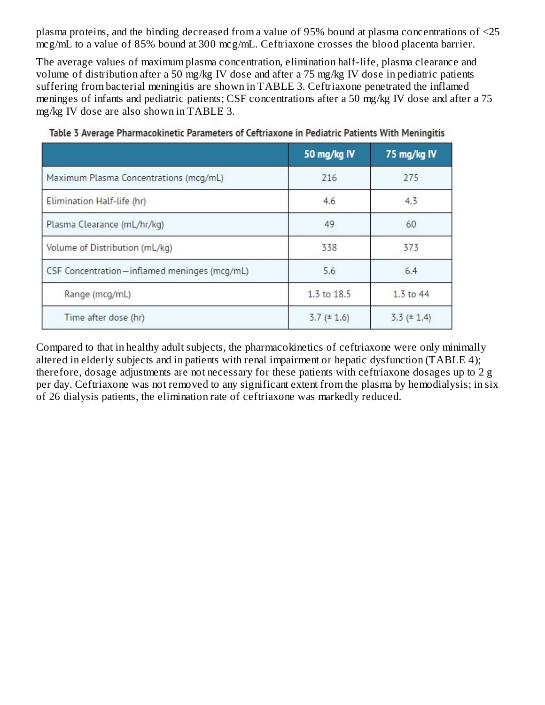plasma proteins, and the binding decreased from a value of 95% bound at plasma concentrations of <25 mcg/mL to a value of 85% bound at 300 mcg/mL. Ceftriaxone crosses the blood placenta barrier.

The average values of maximum plasma concentration, elimination half-life, plasma clearance and volume of distribution after a 50 mg/kg IV dose and after a 75 mg/kg IV dose in pediatric patients suffering from bacterial meningitis are shown in TABLE 3. Ceftriaxone penetrated the inflamed meninges of infants and pediatric patients; CSF concentrations after a 50 mg/kg IV dose and after a 75 mg/kg IV dose are also shown in TABLE 3.

|                                              | 50 mg/kg IV       | 75 mg/kg IV        |
|----------------------------------------------|-------------------|--------------------|
| Maximum Plasma Concentrations (mcg/mL)       | 216               | 275                |
| Elimination Half-life (hr)                   | 4.6               | 4.3                |
| Plasma Clearance (mL/hr/kg)                  | 49                | 60                 |
| Volume of Distribution (mL/kg)               | 338               | 373                |
| CSF Concentration-inflamed meninges (mcg/mL) | 5.6               | 6.4                |
| Range (mcg/mL)                               | 1.3 to 18.5       | 1.3 to 44          |
| Time after dose (hr)                         | $3.7 \ (\pm 1.6)$ | $3.3$ ( $\pm$ 1.4) |

Table 3 Average Pharmacokinetic Parameters of Ceftriaxone in Pediatric Patients With Meningitis

Compared to that in healthy adult subjects, the pharmacokinetics of ceftriaxone were only minimally altered in elderly subjects and in patients with renal impairment or hepatic dysfunction (TABLE 4); therefore, dosage adjustments are not necessary for these patients with ceftriaxone dosages up to 2 g per day. Ceftriaxone was not removed to any significant extent from the plasma by hemodialysis; in six of 26 dialysis patients, the elimination rate of ceftriaxone was markedly reduced.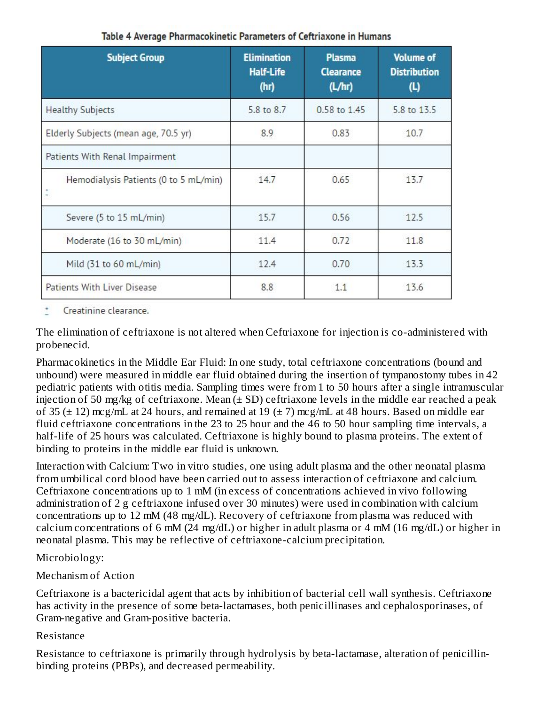| <b>Subject Group</b>                  | <b>Elimination</b><br><b>Half-Life</b><br>(hr) | <b>Plasma</b><br><b>Clearance</b><br>(L/hr) | <b>Volume of</b><br><b>Distribution</b><br>(L) |
|---------------------------------------|------------------------------------------------|---------------------------------------------|------------------------------------------------|
| <b>Healthy Subjects</b>               | 5.8 to 8.7                                     | 0.58 to 1.45                                | 5.8 to 13.5                                    |
| Elderly Subjects (mean age, 70.5 yr)  | 8.9                                            | 0.83                                        | 10.7                                           |
| Patients With Renal Impairment        |                                                |                                             |                                                |
| Hemodialysis Patients (0 to 5 mL/min) | 14.7                                           | 0.65                                        | 13.7                                           |
| Severe (5 to 15 mL/min)               | 15.7                                           | 0.56                                        | 12.5                                           |
| Moderate (16 to 30 mL/min)            | 11.4                                           | 0.72                                        | 11.8                                           |
| Mild (31 to 60 mL/min)                | 12.4                                           | 0.70                                        | 13.3                                           |
| Patients With Liver Disease           | 8.8                                            | 1.1                                         | 13.6                                           |

#### Table 4 Average Pharmacokinetic Parameters of Ceftriaxone in Humans

Creatinine clearance.

The elimination of ceftriaxone is not altered when Ceftriaxone for injection is co-administered with probenecid.

Pharmacokinetics in the Middle Ear Fluid: In one study, total ceftriaxone concentrations (bound and unbound) were measured in middle ear fluid obtained during the insertion of tympanostomy tubes in 42 pediatric patients with otitis media. Sampling times were from 1 to 50 hours after a single intramuscular injection of 50 mg/kg of ceftriaxone. Mean  $(\pm SD)$  ceftriaxone levels in the middle ear reached a peak of 35 ( $\pm$  12) mcg/mL at 24 hours, and remained at 19 ( $\pm$  7) mcg/mL at 48 hours. Based on middle ear fluid ceftriaxone concentrations in the 23 to 25 hour and the 46 to 50 hour sampling time intervals, a half-life of 25 hours was calculated. Ceftriaxone is highly bound to plasma proteins. The extent of binding to proteins in the middle ear fluid is unknown.

Interaction with Calcium: Two in vitro studies, one using adult plasma and the other neonatal plasma from umbilical cord blood have been carried out to assess interaction of ceftriaxone and calcium. Ceftriaxone concentrations up to 1 mM (in excess of concentrations achieved in vivo following administration of 2 g ceftriaxone infused over 30 minutes) were used in combination with calcium concentrations up to 12 mM (48 mg/dL). Recovery of ceftriaxone from plasma was reduced with calcium concentrations of 6 mM (24 mg/dL) or higher in adult plasma or 4 mM (16 mg/dL) or higher in neonatal plasma. This may be reflective of ceftriaxone-calcium precipitation.

#### Microbiology:

#### Mechanism of Action

Ceftriaxone is a bactericidal agent that acts by inhibition of bacterial cell wall synthesis. Ceftriaxone has activity in the presence of some beta-lactamases, both penicillinases and cephalosporinases, of Gram-negative and Gram-positive bacteria.

#### Resistance

Resistance to ceftriaxone is primarily through hydrolysis by beta-lactamase, alteration of penicillinbinding proteins (PBPs), and decreased permeability.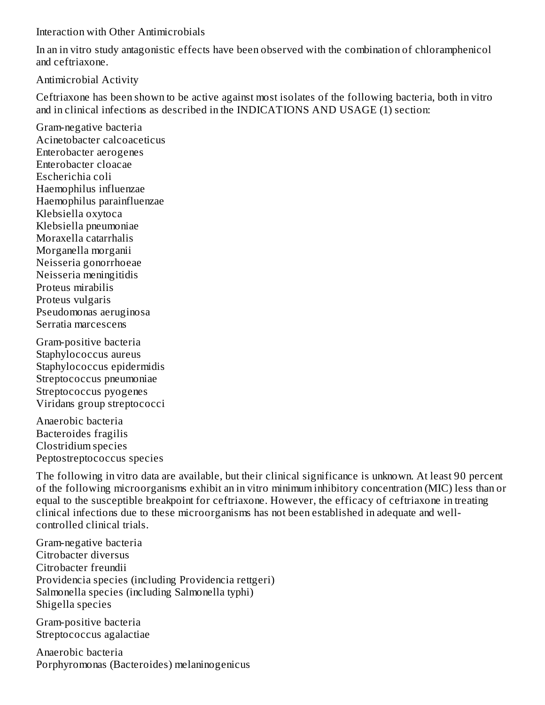#### Interaction with Other Antimicrobials

In an in vitro study antagonistic effects have been observed with the combination of chloramphenicol and ceftriaxone.

Antimicrobial Activity

Ceftriaxone has been shown to be active against most isolates of the following bacteria, both in vitro and in clinical infections as described in the INDICATIONS AND USAGE (1) section:

Gram-negative bacteria Acinetobacter calcoaceticus Enterobacter aerogenes Enterobacter cloacae Escherichia coli Haemophilus influenzae Haemophilus parainfluenzae Klebsiella oxytoca Klebsiella pneumoniae Moraxella catarrhalis Morganella morganii Neisseria gonorrhoeae Neisseria meningitidis Proteus mirabilis Proteus vulgaris Pseudomonas aeruginosa Serratia marcescens

Gram-positive bacteria Staphylococcus aureus Staphylococcus epidermidis Streptococcus pneumoniae Streptococcus pyogenes Viridans group streptococci

Anaerobic bacteria Bacteroides fragilis Clostridium species Peptostreptococcus species

The following in vitro data are available, but their clinical significance is unknown. At least 90 percent of the following microorganisms exhibit an in vitro minimum inhibitory concentration (MIC) less than or equal to the susceptible breakpoint for ceftriaxone. However, the efficacy of ceftriaxone in treating clinical infections due to these microorganisms has not been established in adequate and wellcontrolled clinical trials.

Gram-negative bacteria Citrobacter diversus Citrobacter freundii Providencia species (including Providencia rettgeri) Salmonella species (including Salmonella typhi) Shigella species

Gram-positive bacteria Streptococcus agalactiae

Anaerobic bacteria Porphyromonas (Bacteroides) melaninogenicus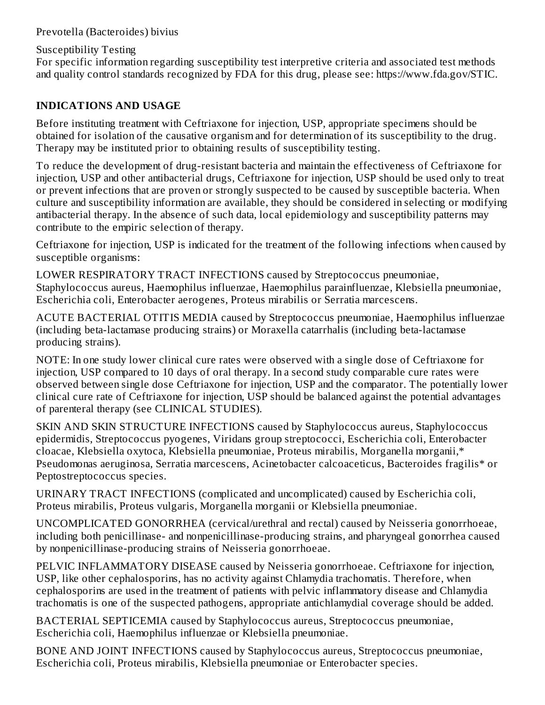#### Prevotella (Bacteroides) bivius

#### Susceptibility Testing

For specific information regarding susceptibility test interpretive criteria and associated test methods and quality control standards recognized by FDA for this drug, please see: https://www.fda.gov/STIC.

## **INDICATIONS AND USAGE**

Before instituting treatment with Ceftriaxone for injection, USP, appropriate specimens should be obtained for isolation of the causative organism and for determination of its susceptibility to the drug. Therapy may be instituted prior to obtaining results of susceptibility testing.

To reduce the development of drug-resistant bacteria and maintain the effectiveness of Ceftriaxone for injection, USP and other antibacterial drugs, Ceftriaxone for injection, USP should be used only to treat or prevent infections that are proven or strongly suspected to be caused by susceptible bacteria. When culture and susceptibility information are available, they should be considered in selecting or modifying antibacterial therapy. In the absence of such data, local epidemiology and susceptibility patterns may contribute to the empiric selection of therapy.

Ceftriaxone for injection, USP is indicated for the treatment of the following infections when caused by susceptible organisms:

LOWER RESPIRATORY TRACT INFECTIONS caused by Streptococcus pneumoniae, Staphylococcus aureus, Haemophilus influenzae, Haemophilus parainfluenzae, Klebsiella pneumoniae, Escherichia coli, Enterobacter aerogenes, Proteus mirabilis or Serratia marcescens.

ACUTE BACTERIAL OTITIS MEDIA caused by Streptococcus pneumoniae, Haemophilus influenzae (including beta-lactamase producing strains) or Moraxella catarrhalis (including beta-lactamase producing strains).

NOTE: In one study lower clinical cure rates were observed with a single dose of Ceftriaxone for injection, USP compared to 10 days of oral therapy. In a second study comparable cure rates were observed between single dose Ceftriaxone for injection, USP and the comparator. The potentially lower clinical cure rate of Ceftriaxone for injection, USP should be balanced against the potential advantages of parenteral therapy (see CLINICAL STUDIES).

SKIN AND SKIN STRUCTURE INFECTIONS caused by Staphylococcus aureus, Staphylococcus epidermidis, Streptococcus pyogenes, Viridans group streptococci, Escherichia coli, Enterobacter cloacae, Klebsiella oxytoca, Klebsiella pneumoniae, Proteus mirabilis, Morganella morganii,\* Pseudomonas aeruginosa, Serratia marcescens, Acinetobacter calcoaceticus, Bacteroides fragilis\* or Peptostreptococcus species.

URINARY TRACT INFECTIONS (complicated and uncomplicated) caused by Escherichia coli, Proteus mirabilis, Proteus vulgaris, Morganella morganii or Klebsiella pneumoniae.

UNCOMPLICATED GONORRHEA (cervical/urethral and rectal) caused by Neisseria gonorrhoeae, including both penicillinase- and nonpenicillinase-producing strains, and pharyngeal gonorrhea caused by nonpenicillinase-producing strains of Neisseria gonorrhoeae.

PELVIC INFLAMMATORY DISEASE caused by Neisseria gonorrhoeae. Ceftriaxone for injection, USP, like other cephalosporins, has no activity against Chlamydia trachomatis. Therefore, when cephalosporins are used in the treatment of patients with pelvic inflammatory disease and Chlamydia trachomatis is one of the suspected pathogens, appropriate antichlamydial coverage should be added.

BACTERIAL SEPTICEMIA caused by Staphylococcus aureus, Streptococcus pneumoniae, Escherichia coli, Haemophilus influenzae or Klebsiella pneumoniae.

BONE AND JOINT INFECTIONS caused by Staphylococcus aureus, Streptococcus pneumoniae, Escherichia coli, Proteus mirabilis, Klebsiella pneumoniae or Enterobacter species.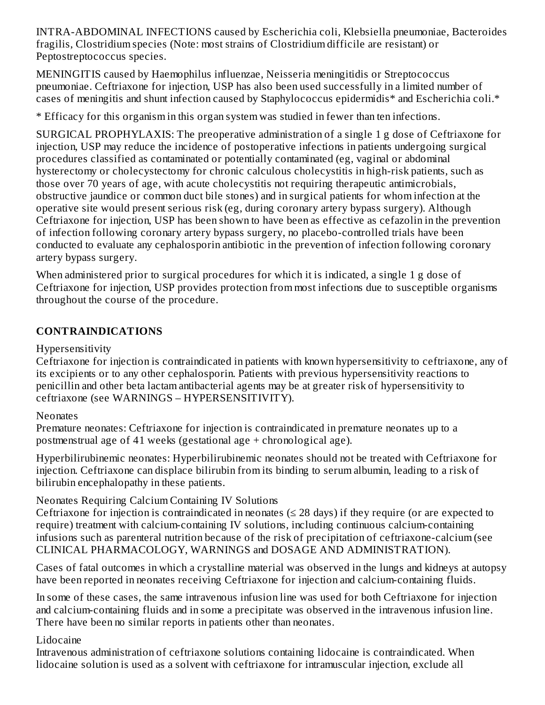INTRA-ABDOMINAL INFECTIONS caused by Escherichia coli, Klebsiella pneumoniae, Bacteroides fragilis, Clostridium species (Note: most strains of Clostridium difficile are resistant) or Peptostreptococcus species.

MENINGITIS caused by Haemophilus influenzae, Neisseria meningitidis or Streptococcus pneumoniae. Ceftriaxone for injection, USP has also been used successfully in a limited number of cases of meningitis and shunt infection caused by Staphylococcus epidermidis\* and Escherichia coli.\*

\* Efficacy for this organism in this organ system was studied in fewer than ten infections.

SURGICAL PROPHYLAXIS: The preoperative administration of a single 1 g dose of Ceftriaxone for injection, USP may reduce the incidence of postoperative infections in patients undergoing surgical procedures classified as contaminated or potentially contaminated (eg, vaginal or abdominal hysterectomy or cholecystectomy for chronic calculous cholecystitis in high-risk patients, such as those over 70 years of age, with acute cholecystitis not requiring therapeutic antimicrobials, obstructive jaundice or common duct bile stones) and in surgical patients for whom infection at the operative site would present serious risk (eg, during coronary artery bypass surgery). Although Ceftriaxone for injection, USP has been shown to have been as effective as cefazolin in the prevention of infection following coronary artery bypass surgery, no placebo-controlled trials have been conducted to evaluate any cephalosporin antibiotic in the prevention of infection following coronary artery bypass surgery.

When administered prior to surgical procedures for which it is indicated, a single 1 g dose of Ceftriaxone for injection, USP provides protection from most infections due to susceptible organisms throughout the course of the procedure.

## **CONTRAINDICATIONS**

#### Hypersensitivity

Ceftriaxone for injection is contraindicated in patients with known hypersensitivity to ceftriaxone, any of its excipients or to any other cephalosporin. Patients with previous hypersensitivity reactions to penicillin and other beta lactam antibacterial agents may be at greater risk of hypersensitivity to ceftriaxone (see WARNINGS – HYPERSENSITIVITY).

#### **Neonates**

Premature neonates: Ceftriaxone for injection is contraindicated in premature neonates up to a postmenstrual age of 41 weeks (gestational age + chronological age).

Hyperbilirubinemic neonates: Hyperbilirubinemic neonates should not be treated with Ceftriaxone for injection. Ceftriaxone can displace bilirubin from its binding to serum albumin, leading to a risk of bilirubin encephalopathy in these patients.

## Neonates Requiring Calcium Containing IV Solutions

Ceftriaxone for injection is contraindicated in neonates  $(\leq 28 \text{ days})$  if they require (or are expected to require) treatment with calcium-containing IV solutions, including continuous calcium-containing infusions such as parenteral nutrition because of the risk of precipitation of ceftriaxone-calcium (see CLINICAL PHARMACOLOGY, WARNINGS and DOSAGE AND ADMINISTRATION).

Cases of fatal outcomes in which a crystalline material was observed in the lungs and kidneys at autopsy have been reported in neonates receiving Ceftriaxone for injection and calcium-containing fluids.

In some of these cases, the same intravenous infusion line was used for both Ceftriaxone for injection and calcium-containing fluids and in some a precipitate was observed in the intravenous infusion line. There have been no similar reports in patients other than neonates.

#### Lidocaine

Intravenous administration of ceftriaxone solutions containing lidocaine is contraindicated. When lidocaine solution is used as a solvent with ceftriaxone for intramuscular injection, exclude all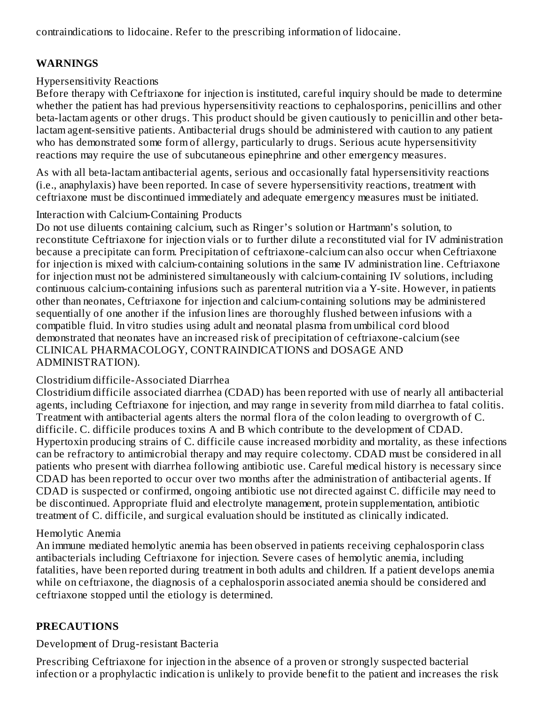contraindications to lidocaine. Refer to the prescribing information of lidocaine.

## **WARNINGS**

#### Hypersensitivity Reactions

Before therapy with Ceftriaxone for injection is instituted, careful inquiry should be made to determine whether the patient has had previous hypersensitivity reactions to cephalosporins, penicillins and other beta-lactam agents or other drugs. This product should be given cautiously to penicillin and other betalactam agent-sensitive patients. Antibacterial drugs should be administered with caution to any patient who has demonstrated some form of allergy, particularly to drugs. Serious acute hypersensitivity reactions may require the use of subcutaneous epinephrine and other emergency measures.

As with all beta-lactam antibacterial agents, serious and occasionally fatal hypersensitivity reactions (i.e., anaphylaxis) have been reported. In case of severe hypersensitivity reactions, treatment with ceftriaxone must be discontinued immediately and adequate emergency measures must be initiated.

#### Interaction with Calcium-Containing Products

Do not use diluents containing calcium, such as Ringer's solution or Hartmann's solution, to reconstitute Ceftriaxone for injection vials or to further dilute a reconstituted vial for IV administration because a precipitate can form. Precipitation of ceftriaxone-calcium can also occur when Ceftriaxone for injection is mixed with calcium-containing solutions in the same IV administration line. Ceftriaxone for injection must not be administered simultaneously with calcium-containing IV solutions, including continuous calcium-containing infusions such as parenteral nutrition via a Y-site. However, in patients other than neonates, Ceftriaxone for injection and calcium-containing solutions may be administered sequentially of one another if the infusion lines are thoroughly flushed between infusions with a compatible fluid. In vitro studies using adult and neonatal plasma from umbilical cord blood demonstrated that neonates have an increased risk of precipitation of ceftriaxone-calcium (see CLINICAL PHARMACOLOGY, CONTRAINDICATIONS and DOSAGE AND ADMINISTRATION).

#### Clostridium difficile-Associated Diarrhea

Clostridium difficile associated diarrhea (CDAD) has been reported with use of nearly all antibacterial agents, including Ceftriaxone for injection, and may range in severity from mild diarrhea to fatal colitis. Treatment with antibacterial agents alters the normal flora of the colon leading to overgrowth of C. difficile. C. difficile produces toxins A and B which contribute to the development of CDAD. Hypertoxin producing strains of C. difficile cause increased morbidity and mortality, as these infections can be refractory to antimicrobial therapy and may require colectomy. CDAD must be considered in all patients who present with diarrhea following antibiotic use. Careful medical history is necessary since CDAD has been reported to occur over two months after the administration of antibacterial agents. If CDAD is suspected or confirmed, ongoing antibiotic use not directed against C. difficile may need to be discontinued. Appropriate fluid and electrolyte management, protein supplementation, antibiotic treatment of C. difficile, and surgical evaluation should be instituted as clinically indicated.

#### Hemolytic Anemia

An immune mediated hemolytic anemia has been observed in patients receiving cephalosporin class antibacterials including Ceftriaxone for injection. Severe cases of hemolytic anemia, including fatalities, have been reported during treatment in both adults and children. If a patient develops anemia while on ceftriaxone, the diagnosis of a cephalosporin associated anemia should be considered and ceftriaxone stopped until the etiology is determined.

#### **PRECAUTIONS**

Development of Drug-resistant Bacteria

Prescribing Ceftriaxone for injection in the absence of a proven or strongly suspected bacterial infection or a prophylactic indication is unlikely to provide benefit to the patient and increases the risk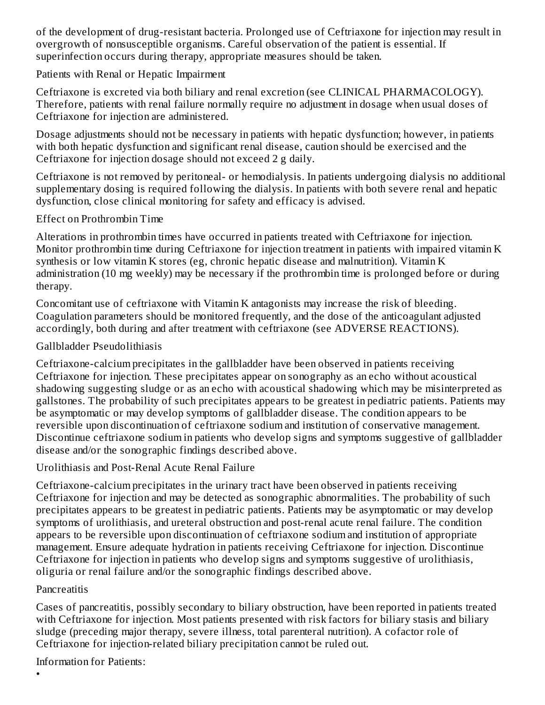of the development of drug-resistant bacteria. Prolonged use of Ceftriaxone for injection may result in overgrowth of nonsusceptible organisms. Careful observation of the patient is essential. If superinfection occurs during therapy, appropriate measures should be taken.

Patients with Renal or Hepatic Impairment

Ceftriaxone is excreted via both biliary and renal excretion (see CLINICAL PHARMACOLOGY). Therefore, patients with renal failure normally require no adjustment in dosage when usual doses of Ceftriaxone for injection are administered.

Dosage adjustments should not be necessary in patients with hepatic dysfunction; however, in patients with both hepatic dysfunction and significant renal disease, caution should be exercised and the Ceftriaxone for injection dosage should not exceed 2 g daily.

Ceftriaxone is not removed by peritoneal- or hemodialysis. In patients undergoing dialysis no additional supplementary dosing is required following the dialysis. In patients with both severe renal and hepatic dysfunction, close clinical monitoring for safety and efficacy is advised.

## Effect on Prothrombin Time

Alterations in prothrombin times have occurred in patients treated with Ceftriaxone for injection. Monitor prothrombin time during Ceftriaxone for injection treatment in patients with impaired vitamin K synthesis or low vitamin K stores (eg, chronic hepatic disease and malnutrition). Vitamin K administration (10 mg weekly) may be necessary if the prothrombin time is prolonged before or during therapy.

Concomitant use of ceftriaxone with Vitamin K antagonists may increase the risk of bleeding. Coagulation parameters should be monitored frequently, and the dose of the anticoagulant adjusted accordingly, both during and after treatment with ceftriaxone (see ADVERSE REACTIONS).

## Gallbladder Pseudolithiasis

Ceftriaxone-calcium precipitates in the gallbladder have been observed in patients receiving Ceftriaxone for injection. These precipitates appear on sonography as an echo without acoustical shadowing suggesting sludge or as an echo with acoustical shadowing which may be misinterpreted as gallstones. The probability of such precipitates appears to be greatest in pediatric patients. Patients may be asymptomatic or may develop symptoms of gallbladder disease. The condition appears to be reversible upon discontinuation of ceftriaxone sodium and institution of conservative management. Discontinue ceftriaxone sodium in patients who develop signs and symptoms suggestive of gallbladder disease and/or the sonographic findings described above.

## Urolithiasis and Post-Renal Acute Renal Failure

Ceftriaxone-calcium precipitates in the urinary tract have been observed in patients receiving Ceftriaxone for injection and may be detected as sonographic abnormalities. The probability of such precipitates appears to be greatest in pediatric patients. Patients may be asymptomatic or may develop symptoms of urolithiasis, and ureteral obstruction and post-renal acute renal failure. The condition appears to be reversible upon discontinuation of ceftriaxone sodium and institution of appropriate management. Ensure adequate hydration in patients receiving Ceftriaxone for injection. Discontinue Ceftriaxone for injection in patients who develop signs and symptoms suggestive of urolithiasis, oliguria or renal failure and/or the sonographic findings described above.

## **Pancreatitis**

Cases of pancreatitis, possibly secondary to biliary obstruction, have been reported in patients treated with Ceftriaxone for injection. Most patients presented with risk factors for biliary stasis and biliary sludge (preceding major therapy, severe illness, total parenteral nutrition). A cofactor role of Ceftriaxone for injection-related biliary precipitation cannot be ruled out.

Information for Patients:

•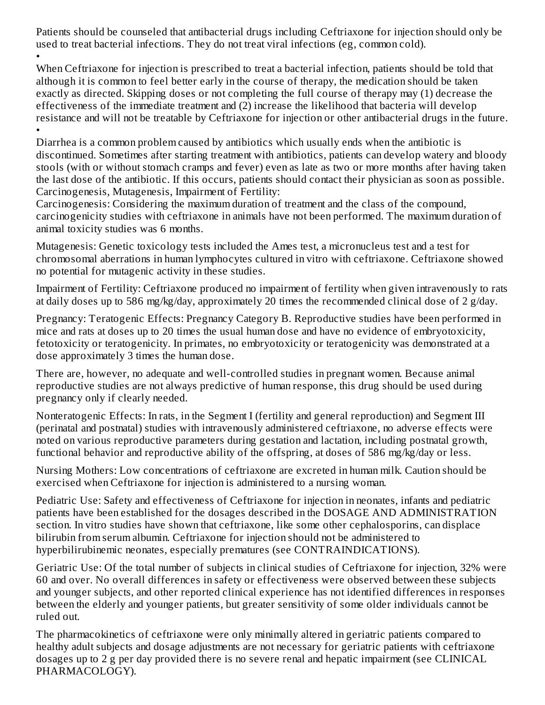Patients should be counseled that antibacterial drugs including Ceftriaxone for injection should only be used to treat bacterial infections. They do not treat viral infections (eg, common cold).

• When Ceftriaxone for injection is prescribed to treat a bacterial infection, patients should be told that although it is common to feel better early in the course of therapy, the medication should be taken exactly as directed. Skipping doses or not completing the full course of therapy may (1) decrease the effectiveness of the immediate treatment and (2) increase the likelihood that bacteria will develop resistance and will not be treatable by Ceftriaxone for injection or other antibacterial drugs in the future. •

Diarrhea is a common problem caused by antibiotics which usually ends when the antibiotic is discontinued. Sometimes after starting treatment with antibiotics, patients can develop watery and bloody stools (with or without stomach cramps and fever) even as late as two or more months after having taken the last dose of the antibiotic. If this occurs, patients should contact their physician as soon as possible. Carcinogenesis, Mutagenesis, Impairment of Fertility:

Carcinogenesis: Considering the maximum duration of treatment and the class of the compound, carcinogenicity studies with ceftriaxone in animals have not been performed. The maximum duration of animal toxicity studies was 6 months.

Mutagenesis: Genetic toxicology tests included the Ames test, a micronucleus test and a test for chromosomal aberrations in human lymphocytes cultured in vitro with ceftriaxone. Ceftriaxone showed no potential for mutagenic activity in these studies.

Impairment of Fertility: Ceftriaxone produced no impairment of fertility when given intravenously to rats at daily doses up to 586 mg/kg/day, approximately 20 times the recommended clinical dose of 2 g/day.

Pregnancy: Teratogenic Effects: Pregnancy Category B. Reproductive studies have been performed in mice and rats at doses up to 20 times the usual human dose and have no evidence of embryotoxicity, fetotoxicity or teratogenicity. In primates, no embryotoxicity or teratogenicity was demonstrated at a dose approximately 3 times the human dose.

There are, however, no adequate and well-controlled studies in pregnant women. Because animal reproductive studies are not always predictive of human response, this drug should be used during pregnancy only if clearly needed.

Nonteratogenic Effects: In rats, in the Segment I (fertility and general reproduction) and Segment III (perinatal and postnatal) studies with intravenously administered ceftriaxone, no adverse effects were noted on various reproductive parameters during gestation and lactation, including postnatal growth, functional behavior and reproductive ability of the offspring, at doses of 586 mg/kg/day or less.

Nursing Mothers: Low concentrations of ceftriaxone are excreted in human milk. Caution should be exercised when Ceftriaxone for injection is administered to a nursing woman.

Pediatric Use: Safety and effectiveness of Ceftriaxone for injection in neonates, infants and pediatric patients have been established for the dosages described in the DOSAGE AND ADMINISTRATION section. In vitro studies have shown that ceftriaxone, like some other cephalosporins, can displace bilirubin from serum albumin. Ceftriaxone for injection should not be administered to hyperbilirubinemic neonates, especially prematures (see CONTRAINDICATIONS).

Geriatric Use: Of the total number of subjects in clinical studies of Ceftriaxone for injection, 32% were 60 and over. No overall differences in safety or effectiveness were observed between these subjects and younger subjects, and other reported clinical experience has not identified differences in responses between the elderly and younger patients, but greater sensitivity of some older individuals cannot be ruled out.

The pharmacokinetics of ceftriaxone were only minimally altered in geriatric patients compared to healthy adult subjects and dosage adjustments are not necessary for geriatric patients with ceftriaxone dosages up to 2 g per day provided there is no severe renal and hepatic impairment (see CLINICAL PHARMACOLOGY).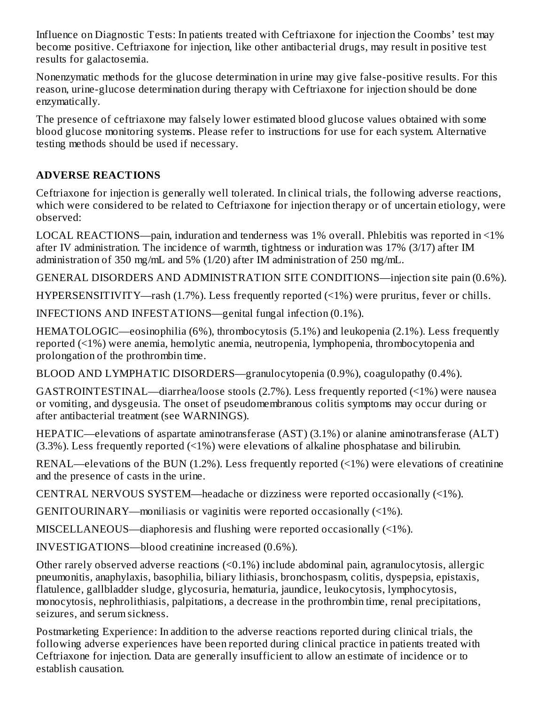Influence on Diagnostic Tests: In patients treated with Ceftriaxone for injection the Coombs' test may become positive. Ceftriaxone for injection, like other antibacterial drugs, may result in positive test results for galactosemia.

Nonenzymatic methods for the glucose determination in urine may give false-positive results. For this reason, urine-glucose determination during therapy with Ceftriaxone for injection should be done enzymatically.

The presence of ceftriaxone may falsely lower estimated blood glucose values obtained with some blood glucose monitoring systems. Please refer to instructions for use for each system. Alternative testing methods should be used if necessary.

# **ADVERSE REACTIONS**

Ceftriaxone for injection is generally well tolerated. In clinical trials, the following adverse reactions, which were considered to be related to Ceftriaxone for injection therapy or of uncertain etiology, were observed:

LOCAL REACTIONS—pain, induration and tenderness was 1% overall. Phlebitis was reported in <1% after IV administration. The incidence of warmth, tightness or induration was 17% (3/17) after IM administration of 350 mg/mL and 5% (1/20) after IM administration of 250 mg/mL.

GENERAL DISORDERS AND ADMINISTRATION SITE CONDITIONS—injection site pain (0.6%).

HYPERSENSITIVITY—rash (1.7%). Less frequently reported (<1%) were pruritus, fever or chills.

INFECTIONS AND INFESTATIONS—genital fungal infection (0.1%).

HEMATOLOGIC—eosinophilia (6%), thrombocytosis (5.1%) and leukopenia (2.1%). Less frequently reported (<1%) were anemia, hemolytic anemia, neutropenia, lymphopenia, thrombocytopenia and prolongation of the prothrombin time.

BLOOD AND LYMPHATIC DISORDERS—granulocytopenia (0.9%), coagulopathy (0.4%).

GASTROINTESTINAL—diarrhea/loose stools (2.7%). Less frequently reported (<1%) were nausea or vomiting, and dysgeusia. The onset of pseudomembranous colitis symptoms may occur during or after antibacterial treatment (see WARNINGS).

HEPATIC—elevations of aspartate aminotransferase (AST) (3.1%) or alanine aminotransferase (ALT) (3.3%). Less frequently reported (<1%) were elevations of alkaline phosphatase and bilirubin.

RENAL—elevations of the BUN (1.2%). Less frequently reported (<1%) were elevations of creatinine and the presence of casts in the urine.

CENTRAL NERVOUS SYSTEM—headache or dizziness were reported occasionally (<1%).

GENITOURINARY—moniliasis or vaginitis were reported occasionally (<1%).

MISCELLANEOUS—diaphoresis and flushing were reported occasionally (<1%).

INVESTIGATIONS—blood creatinine increased (0.6%).

Other rarely observed adverse reactions (<0.1%) include abdominal pain, agranulocytosis, allergic pneumonitis, anaphylaxis, basophilia, biliary lithiasis, bronchospasm, colitis, dyspepsia, epistaxis, flatulence, gallbladder sludge, glycosuria, hematuria, jaundice, leukocytosis, lymphocytosis, monocytosis, nephrolithiasis, palpitations, a decrease in the prothrombin time, renal precipitations, seizures, and serum sickness.

Postmarketing Experience: In addition to the adverse reactions reported during clinical trials, the following adverse experiences have been reported during clinical practice in patients treated with Ceftriaxone for injection. Data are generally insufficient to allow an estimate of incidence or to establish causation.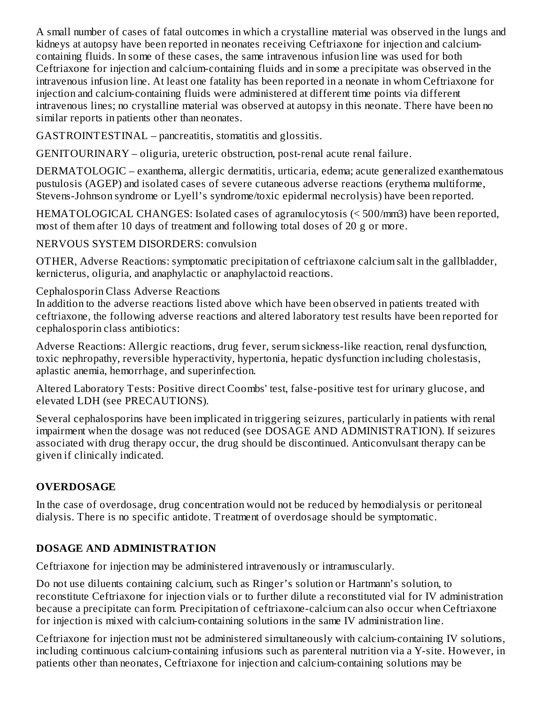A small number of cases of fatal outcomes in which a crystalline material was observed in the lungs and kidneys at autopsy have been reported in neonates receiving Ceftriaxone for injection and calciumcontaining fluids. In some of these cases, the same intravenous infusion line was used for both Ceftriaxone for injection and calcium-containing fluids and in some a precipitate was observed in the intravenous infusion line. At least one fatality has been reported in a neonate in whom Ceftriaxone for injection and calcium-containing fluids were administered at different time points via different intravenous lines; no crystalline material was observed at autopsy in this neonate. There have been no similar reports in patients other than neonates.

GASTROINTESTINAL – pancreatitis, stomatitis and glossitis.

GENITOURINARY – oliguria, ureteric obstruction, post-renal acute renal failure.

DERMATOLOGIC – exanthema, allergic dermatitis, urticaria, edema; acute generalized exanthematous pustulosis (AGEP) and isolated cases of severe cutaneous adverse reactions (erythema multiforme, Stevens-Johnson syndrome or Lyell's syndrome/toxic epidermal necrolysis) have been reported.

HEMATOLOGICAL CHANGES: Isolated cases of agranulocytosis (< 500/mm3) have been reported, most of them after 10 days of treatment and following total doses of 20 g or more.

NERVOUS SYSTEM DISORDERS: convulsion

OTHER, Adverse Reactions: symptomatic precipitation of ceftriaxone calcium salt in the gallbladder, kernicterus, oliguria, and anaphylactic or anaphylactoid reactions.

Cephalosporin Class Adverse Reactions

In addition to the adverse reactions listed above which have been observed in patients treated with ceftriaxone, the following adverse reactions and altered laboratory test results have been reported for cephalosporin class antibiotics:

Adverse Reactions: Allergic reactions, drug fever, serum sickness-like reaction, renal dysfunction, toxic nephropathy, reversible hyperactivity, hypertonia, hepatic dysfunction including cholestasis, aplastic anemia, hemorrhage, and superinfection.

Altered Laboratory Tests: Positive direct Coombs' test, false-positive test for urinary glucose, and elevated LDH (see PRECAUTIONS).

Several cephalosporins have been implicated in triggering seizures, particularly in patients with renal impairment when the dosage was not reduced (see DOSAGE AND ADMINISTRATION). If seizures associated with drug therapy occur, the drug should be discontinued. Anticonvulsant therapy can be given if clinically indicated.

# **OVERDOSAGE**

In the case of overdosage, drug concentration would not be reduced by hemodialysis or peritoneal dialysis. There is no specific antidote. Treatment of overdosage should be symptomatic.

# **DOSAGE AND ADMINISTRATION**

Ceftriaxone for injection may be administered intravenously or intramuscularly.

Do not use diluents containing calcium, such as Ringer's solution or Hartmann's solution, to reconstitute Ceftriaxone for injection vials or to further dilute a reconstituted vial for IV administration because a precipitate can form. Precipitation of ceftriaxone-calcium can also occur when Ceftriaxone for injection is mixed with calcium-containing solutions in the same IV administration line.

Ceftriaxone for injection must not be administered simultaneously with calcium-containing IV solutions, including continuous calcium-containing infusions such as parenteral nutrition via a Y-site. However, in patients other than neonates, Ceftriaxone for injection and calcium-containing solutions may be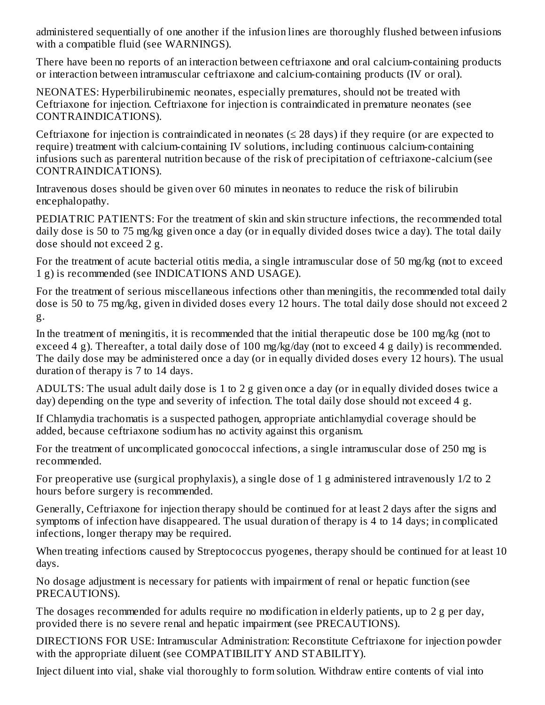administered sequentially of one another if the infusion lines are thoroughly flushed between infusions with a compatible fluid (see WARNINGS).

There have been no reports of an interaction between ceftriaxone and oral calcium-containing products or interaction between intramuscular ceftriaxone and calcium-containing products (IV or oral).

NEONATES: Hyperbilirubinemic neonates, especially prematures, should not be treated with Ceftriaxone for injection. Ceftriaxone for injection is contraindicated in premature neonates (see CONTRAINDICATIONS).

Ceftriaxone for injection is contraindicated in neonates  $(\leq 28 \text{ days})$  if they require (or are expected to require) treatment with calcium-containing IV solutions, including continuous calcium-containing infusions such as parenteral nutrition because of the risk of precipitation of ceftriaxone-calcium (see CONTRAINDICATIONS).

Intravenous doses should be given over 60 minutes in neonates to reduce the risk of bilirubin encephalopathy.

PEDIATRIC PATIENTS: For the treatment of skin and skin structure infections, the recommended total daily dose is 50 to 75 mg/kg given once a day (or in equally divided doses twice a day). The total daily dose should not exceed 2 g.

For the treatment of acute bacterial otitis media, a single intramuscular dose of 50 mg/kg (not to exceed 1 g) is recommended (see INDICATIONS AND USAGE).

For the treatment of serious miscellaneous infections other than meningitis, the recommended total daily dose is 50 to 75 mg/kg, given in divided doses every 12 hours. The total daily dose should not exceed 2 g.

In the treatment of meningitis, it is recommended that the initial therapeutic dose be 100 mg/kg (not to exceed 4 g). Thereafter, a total daily dose of 100 mg/kg/day (not to exceed 4 g daily) is recommended. The daily dose may be administered once a day (or in equally divided doses every 12 hours). The usual duration of therapy is 7 to 14 days.

ADULTS: The usual adult daily dose is 1 to 2 g given once a day (or in equally divided doses twice a day) depending on the type and severity of infection. The total daily dose should not exceed 4 g.

If Chlamydia trachomatis is a suspected pathogen, appropriate antichlamydial coverage should be added, because ceftriaxone sodium has no activity against this organism.

For the treatment of uncomplicated gonococcal infections, a single intramuscular dose of 250 mg is recommended.

For preoperative use (surgical prophylaxis), a single dose of 1 g administered intravenously 1/2 to 2 hours before surgery is recommended.

Generally, Ceftriaxone for injection therapy should be continued for at least 2 days after the signs and symptoms of infection have disappeared. The usual duration of therapy is 4 to 14 days; in complicated infections, longer therapy may be required.

When treating infections caused by Streptococcus pyogenes, therapy should be continued for at least 10 days.

No dosage adjustment is necessary for patients with impairment of renal or hepatic function (see PRECAUTIONS).

The dosages recommended for adults require no modification in elderly patients, up to 2 g per day, provided there is no severe renal and hepatic impairment (see PRECAUTIONS).

DIRECTIONS FOR USE: Intramuscular Administration: Reconstitute Ceftriaxone for injection powder with the appropriate diluent (see COMPATIBILITY AND STABILITY).

Inject diluent into vial, shake vial thoroughly to form solution. Withdraw entire contents of vial into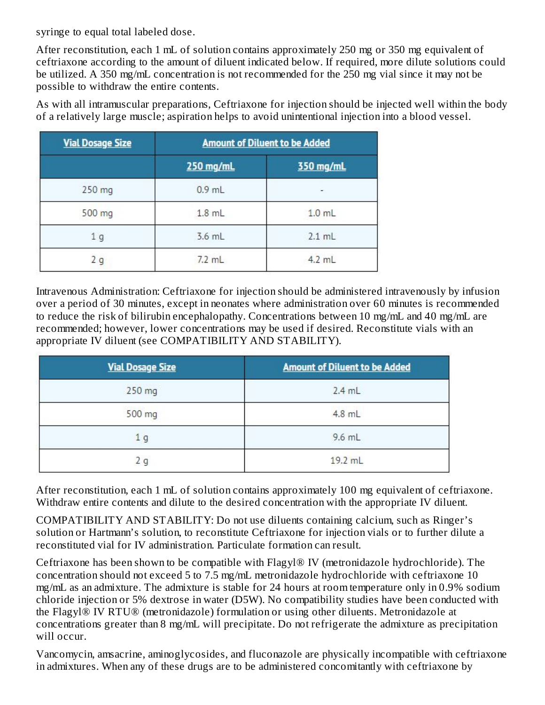syringe to equal total labeled dose.

After reconstitution, each 1 mL of solution contains approximately 250 mg or 350 mg equivalent of ceftriaxone according to the amount of diluent indicated below. If required, more dilute solutions could be utilized. A 350 mg/mL concentration is not recommended for the 250 mg vial since it may not be possible to withdraw the entire contents.

As with all intramuscular preparations, Ceftriaxone for injection should be injected well within the body of a relatively large muscle; aspiration helps to avoid unintentional injection into a blood vessel.

| <b>Vial Dosage Size</b> | <b>Amount of Diluent to be Added</b> |           |  |  |
|-------------------------|--------------------------------------|-----------|--|--|
|                         | 250 mg/mL                            | 350 mg/mL |  |  |
| 250 mg                  | $0.9$ mL                             |           |  |  |
| 500 mg                  | $1.8$ mL                             | $1.0$ mL  |  |  |
| 1q                      | 3.6 mL                               | $2.1$ mL  |  |  |
| 2 g                     | $7.2$ mL                             | $4.2$ mL  |  |  |

Intravenous Administration: Ceftriaxone for injection should be administered intravenously by infusion over a period of 30 minutes, except in neonates where administration over 60 minutes is recommended to reduce the risk of bilirubin encephalopathy. Concentrations between 10 mg/mL and 40 mg/mL are recommended; however, lower concentrations may be used if desired. Reconstitute vials with an appropriate IV diluent (see COMPATIBILITY AND STABILITY).

| <b>Vial Dosage Size</b> | <b>Amount of Diluent to be Added</b> |
|-------------------------|--------------------------------------|
| 250 mg                  | $2.4$ mL                             |
| 500 mg                  | 4.8 mL                               |
| 1 <sub>g</sub>          | 9.6 mL                               |
| 2q                      | 19.2 mL                              |

After reconstitution, each 1 mL of solution contains approximately 100 mg equivalent of ceftriaxone. Withdraw entire contents and dilute to the desired concentration with the appropriate IV diluent.

COMPATIBILITY AND STABILITY: Do not use diluents containing calcium, such as Ringer's solution or Hartmann's solution, to reconstitute Ceftriaxone for injection vials or to further dilute a reconstituted vial for IV administration. Particulate formation can result.

Ceftriaxone has been shown to be compatible with Flagyl® IV (metronidazole hydrochloride). The concentration should not exceed 5 to 7.5 mg/mL metronidazole hydrochloride with ceftriaxone 10 mg/mL as an admixture. The admixture is stable for 24 hours at room temperature only in 0.9% sodium chloride injection or 5% dextrose in water (D5W). No compatibility studies have been conducted with the Flagyl® IV RTU® (metronidazole) formulation or using other diluents. Metronidazole at concentrations greater than 8 mg/mL will precipitate. Do not refrigerate the admixture as precipitation will occur.

Vancomycin, amsacrine, aminoglycosides, and fluconazole are physically incompatible with ceftriaxone in admixtures. When any of these drugs are to be administered concomitantly with ceftriaxone by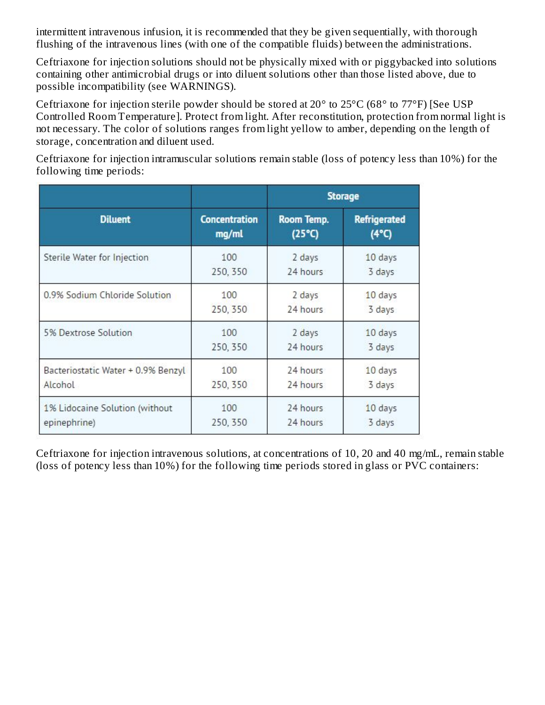intermittent intravenous infusion, it is recommended that they be given sequentially, with thorough flushing of the intravenous lines (with one of the compatible fluids) between the administrations.

Ceftriaxone for injection solutions should not be physically mixed with or piggybacked into solutions containing other antimicrobial drugs or into diluent solutions other than those listed above, due to possible incompatibility (see WARNINGS).

Ceftriaxone for injection sterile powder should be stored at 20° to 25°C (68° to 77°F) [See USP Controlled Room Temperature]. Protect from light. After reconstitution, protection from normal light is not necessary. The color of solutions ranges from light yellow to amber, depending on the length of storage, concentration and diluent used.

Ceftriaxone for injection intramuscular solutions remain stable (loss of potency less than 10%) for the following time periods:

|                                    |                      | <b>Storage</b>    |                     |  |
|------------------------------------|----------------------|-------------------|---------------------|--|
| <b>Diluent</b>                     | <b>Concentration</b> | <b>Room Temp.</b> | <b>Refrigerated</b> |  |
|                                    | mg/ml                | $(25^{\circ}C)$   | (4°C)               |  |
| Sterile Water for Injection        | 100                  | 2 days            | 10 days             |  |
|                                    | 250, 350             | 24 hours          | 3 days              |  |
| 0.9% Sodium Chloride Solution      | 100                  | 2 days            | 10 days             |  |
|                                    | 250, 350             | 24 hours          | 3 days              |  |
| 5% Dextrose Solution               | 100                  | 2 days            | 10 days             |  |
|                                    | 250, 350             | 24 hours          | 3 days              |  |
| Bacteriostatic Water + 0.9% Benzyl | 100                  | 24 hours          | 10 days             |  |
| Alcohol                            | 250, 350             | 24 hours          | 3 days              |  |
| 1% Lidocaine Solution (without     | 100                  | 24 hours          | 10 days             |  |
| epinephrine)                       | 250, 350             | 24 hours          | 3 days              |  |

Ceftriaxone for injection intravenous solutions, at concentrations of 10, 20 and 40 mg/mL, remain stable (loss of potency less than 10%) for the following time periods stored in glass or PVC containers: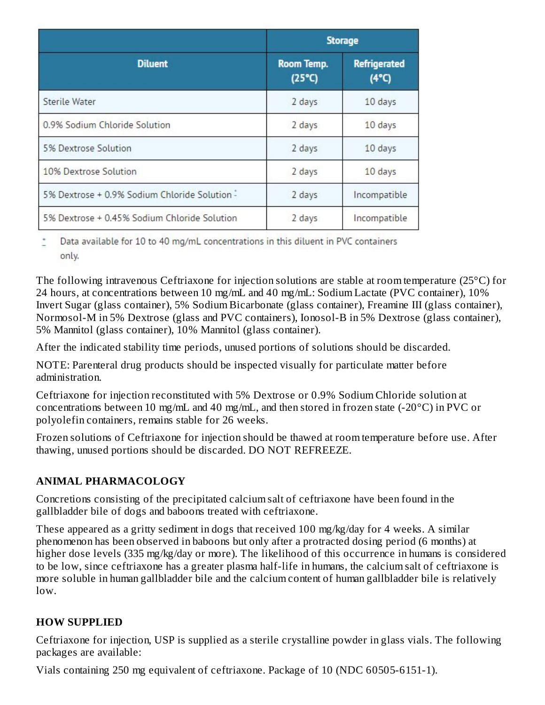|                                               | <b>Storage</b>                       |                              |  |  |
|-----------------------------------------------|--------------------------------------|------------------------------|--|--|
| <b>Diluent</b>                                | <b>Room Temp.</b><br>$(25^{\circ}C)$ | <b>Refrigerated</b><br>(4°C) |  |  |
| Sterile Water                                 | 2 days                               | 10 days                      |  |  |
| 0.9% Sodium Chloride Solution                 | 2 days                               | 10 days                      |  |  |
| 5% Dextrose Solution                          | 2 days                               | 10 days                      |  |  |
| 10% Dextrose Solution                         | 2 days                               | 10 days                      |  |  |
| 5% Dextrose + 0.9% Sodium Chloride Solution - | 2 days                               | Incompatible                 |  |  |
| 5% Dextrose + 0.45% Sodium Chloride Solution  | 2 days                               | Incompatible                 |  |  |

Data available for 10 to 40 mg/mL concentrations in this diluent in PVC containers only.

The following intravenous Ceftriaxone for injection solutions are stable at room temperature (25°C) for 24 hours, at concentrations between 10 mg/mL and 40 mg/mL: Sodium Lactate (PVC container), 10% Invert Sugar (glass container), 5% Sodium Bicarbonate (glass container), Freamine III (glass container), Normosol-M in 5% Dextrose (glass and PVC containers), Ionosol-B in 5% Dextrose (glass container), 5% Mannitol (glass container), 10% Mannitol (glass container).

After the indicated stability time periods, unused portions of solutions should be discarded.

NOTE: Parenteral drug products should be inspected visually for particulate matter before administration.

Ceftriaxone for injection reconstituted with 5% Dextrose or 0.9% Sodium Chloride solution at concentrations between 10 mg/mL and 40 mg/mL, and then stored in frozen state (-20°C) in PVC or polyolefin containers, remains stable for 26 weeks.

Frozen solutions of Ceftriaxone for injection should be thawed at room temperature before use. After thawing, unused portions should be discarded. DO NOT REFREEZE.

#### **ANIMAL PHARMACOLOGY**

Concretions consisting of the precipitated calcium salt of ceftriaxone have been found in the gallbladder bile of dogs and baboons treated with ceftriaxone.

These appeared as a gritty sediment in dogs that received 100 mg/kg/day for 4 weeks. A similar phenomenon has been observed in baboons but only after a protracted dosing period (6 months) at higher dose levels (335 mg/kg/day or more). The likelihood of this occurrence in humans is considered to be low, since ceftriaxone has a greater plasma half-life in humans, the calcium salt of ceftriaxone is more soluble in human gallbladder bile and the calcium content of human gallbladder bile is relatively low.

## **HOW SUPPLIED**

Ceftriaxone for injection, USP is supplied as a sterile crystalline powder in glass vials. The following packages are available:

Vials containing 250 mg equivalent of ceftriaxone. Package of 10 (NDC 60505-6151-1).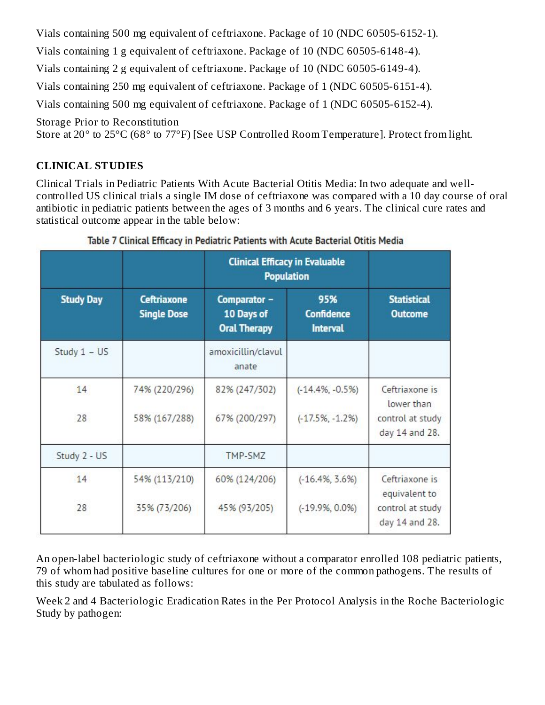Vials containing 500 mg equivalent of ceftriaxone. Package of 10 (NDC 60505-6152-1).

Vials containing 1 g equivalent of ceftriaxone. Package of 10 (NDC 60505-6148-4).

Vials containing 2 g equivalent of ceftriaxone. Package of 10 (NDC 60505-6149-4).

Vials containing 250 mg equivalent of ceftriaxone. Package of 1 (NDC 60505-6151-4).

Vials containing 500 mg equivalent of ceftriaxone. Package of 1 (NDC 60505-6152-4).

Storage Prior to Reconstitution

Store at 20° to 25°C (68° to 77°F) [See USP Controlled Room Temperature]. Protect from light.

## **CLINICAL STUDIES**

Clinical Trials in Pediatric Patients With Acute Bacterial Otitis Media: In two adequate and wellcontrolled US clinical trials a single IM dose of ceftriaxone was compared with a 10 day course of oral antibiotic in pediatric patients between the ages of 3 months and 6 years. The clinical cure rates and statistical outcome appear in the table below:

|                  |                                          |                                                   | <b>Clinical Efficacy in Evaluable</b><br><b>Population</b> |                                      |  |
|------------------|------------------------------------------|---------------------------------------------------|------------------------------------------------------------|--------------------------------------|--|
| <b>Study Day</b> | <b>Ceftriaxone</b><br><b>Single Dose</b> | Comparator -<br>10 Days of<br><b>Oral Therapy</b> | 95%<br><b>Confidence</b><br><b>Interval</b>                | <b>Statistical</b><br><b>Outcome</b> |  |
| Study $1 - US$   |                                          | amoxicillin/clavul<br>anate                       |                                                            |                                      |  |
| 14               | 74% (220/296)                            | 82% (247/302)                                     | $(-14.4\%, -0.5\%)$                                        | Ceftriaxone is<br>lower than         |  |
| 28               | 58% (167/288)                            | 67% (200/297)                                     | $(-17.5\%, -1.2\%)$                                        | control at study<br>day 14 and 28.   |  |
| Study 2 - US     |                                          | TMP-SMZ                                           |                                                            |                                      |  |
| 14               | 54% (113/210)                            | 60% (124/206)                                     | $(-16.4\%, 3.6\%)$                                         | Ceftriaxone is<br>equivalent to      |  |
| 28               | 35% (73/206)                             | 45% (93/205)                                      | $(-19.9\%, 0.0\%)$                                         | control at study<br>day 14 and 28.   |  |

#### Table 7 Clinical Efficacy in Pediatric Patients with Acute Bacterial Otitis Media

An open-label bacteriologic study of ceftriaxone without a comparator enrolled 108 pediatric patients, 79 of whom had positive baseline cultures for one or more of the common pathogens. The results of this study are tabulated as follows:

Week 2 and 4 Bacteriologic Eradication Rates in the Per Protocol Analysis in the Roche Bacteriologic Study by pathogen: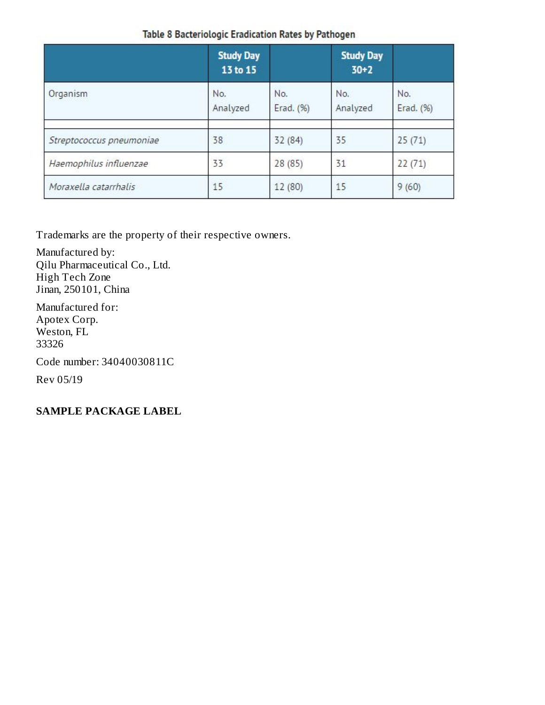| Table 8 Bacteriologic Eradication Rates by Pathogen |
|-----------------------------------------------------|
|-----------------------------------------------------|

|                          | <b>Study Day</b><br>13 to 15 |                  | <b>Study Day</b><br>$30+2$ |                  |
|--------------------------|------------------------------|------------------|----------------------------|------------------|
| Organism                 | No.<br>Analyzed              | No.<br>Erad. (%) | No.<br>Analyzed            | No.<br>Erad. (%) |
| Streptococcus pneumoniae | 38                           | 32(84)           | 35                         | 25(71)           |
| Haemophilus influenzae   | 33                           | 28(85)           | 31                         | 22(71)           |
| Moraxella catarrhalis    | 15                           | 12 (80)          | 15                         | 9(60)            |

Trademarks are the property of their respective owners.

Manufactured by: Qilu Pharmaceutical Co., Ltd. High Tech Zone Jinan, 250101, China

Manufactured for: Apotex Corp. Weston, FL 33326

Code number: 34040030811C

Rev 05/19

#### **SAMPLE PACKAGE LABEL**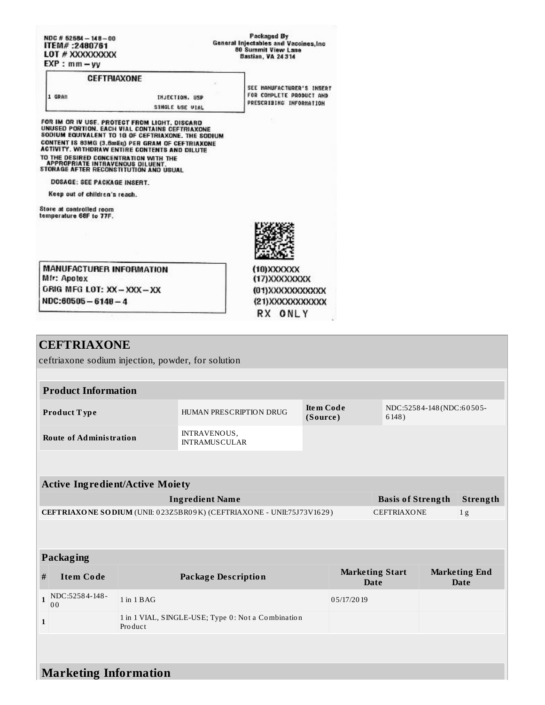| NDC # 52584 $-148-00$<br>ITEM#:2480761<br>LOT # XXXXXXXXX<br>$EXP: mm - vv$                                         |                                                                                                                                                                                                                                                            | Packaged By<br>General Injectables and Vaccines, Inc.<br>80 Summit View Lane<br><b>Bastian, VA 24 314</b> |  |
|---------------------------------------------------------------------------------------------------------------------|------------------------------------------------------------------------------------------------------------------------------------------------------------------------------------------------------------------------------------------------------------|-----------------------------------------------------------------------------------------------------------|--|
| <b>CEFTRIAXONE</b>                                                                                                  |                                                                                                                                                                                                                                                            |                                                                                                           |  |
| 1 GRAM                                                                                                              | <b>INJECTION, USP</b><br><b>SINGLE USE VIAL</b>                                                                                                                                                                                                            | SEE HANUFACTURER'S INSERT<br>FOR COMPLETE PRODUCT AND<br>PRESCRIBING INFORMATION                          |  |
| TO THE DESIRED CONCENTRATION WITH THE<br>APPROPRIATE INTRAVENOUS DILUENT.<br>STORAGE AFTER RECONSTITUTION AND USUAL | FOR IM OR IV USE. PROTECT FROM LIGHT, DISCARD<br>UNUSED PORTION. EACH VIAL CONTAINS CEFTRIAXONE<br>SODIUM EQUIVALENT TO 1G OF CEFTRIAXONE. THE SODIUM<br>CONTENT IS 83MG (3.6mEq) PER GRAM OF CEFTRIAXONE<br>ACTIVITY. WITHDRAW ENTIRE CONTENTS AND DILUTE |                                                                                                           |  |
| DOSAGE: SEE PACKAGE INSERT.<br>Keep out of children's reach.                                                        |                                                                                                                                                                                                                                                            |                                                                                                           |  |
| Store at controlled room<br>temperature 68F to 77F.                                                                 |                                                                                                                                                                                                                                                            |                                                                                                           |  |
|                                                                                                                     |                                                                                                                                                                                                                                                            |                                                                                                           |  |
| MANUFACTURER INFORMATION<br>Mfr: Apotex                                                                             |                                                                                                                                                                                                                                                            | (10)XXXXXX<br>(17)XXXXXXXX                                                                                |  |
| GRIG MFG LOT: $XX - XXX - XX$                                                                                       |                                                                                                                                                                                                                                                            | (01)XXXXXXXXXXX                                                                                           |  |
| $NDC:60505 - 6148 - 4$                                                                                              |                                                                                                                                                                                                                                                            | (21) XXXXXXXXXXX<br>RX ONLY                                                                               |  |

ceftriaxone sodium injection, powder, for solution

| <b>Product Information</b> |                                      |                       |                                   |  |
|----------------------------|--------------------------------------|-----------------------|-----------------------------------|--|
| <b>Product Type</b>        | HUMAN PRESCRIPTION DRUG              | Item Code<br>(Source) | NDC:52584-148(NDC:60505-<br>6148) |  |
| Route of Administration    | INTRAVENOUS,<br><b>INTRAMUSCULAR</b> |                       |                                   |  |

| <b>Active Ingredient/Active Moiety</b>                                       |                                   |  |  |
|------------------------------------------------------------------------------|-----------------------------------|--|--|
| Ingredient Name                                                              | <b>Basis of Strength</b> Strength |  |  |
| <b>CEFTRIAXONE SODIUM (UNII: 023Z5BR09K) (CEFTRIAXONE - UNII:75J73V1629)</b> | CEFTRIAXONE                       |  |  |

| #                            | <b>Packaging</b><br><b>Item Code</b> | <b>Package Description</b>                                    | <b>Marketing Start</b><br>Date | <b>Marketing End</b><br>Date |
|------------------------------|--------------------------------------|---------------------------------------------------------------|--------------------------------|------------------------------|
| $\mathbf{1}$                 | NDC:52584-148-<br>00                 | $1$ in $1$ $BAG$                                              | 05/17/2019                     |                              |
| $\mathbf{1}$                 |                                      | 1 in 1 VIAL, SINGLE-USE; Type 0: Not a Combination<br>Product |                                |                              |
|                              |                                      |                                                               |                                |                              |
| <b>Marketing Information</b> |                                      |                                                               |                                |                              |